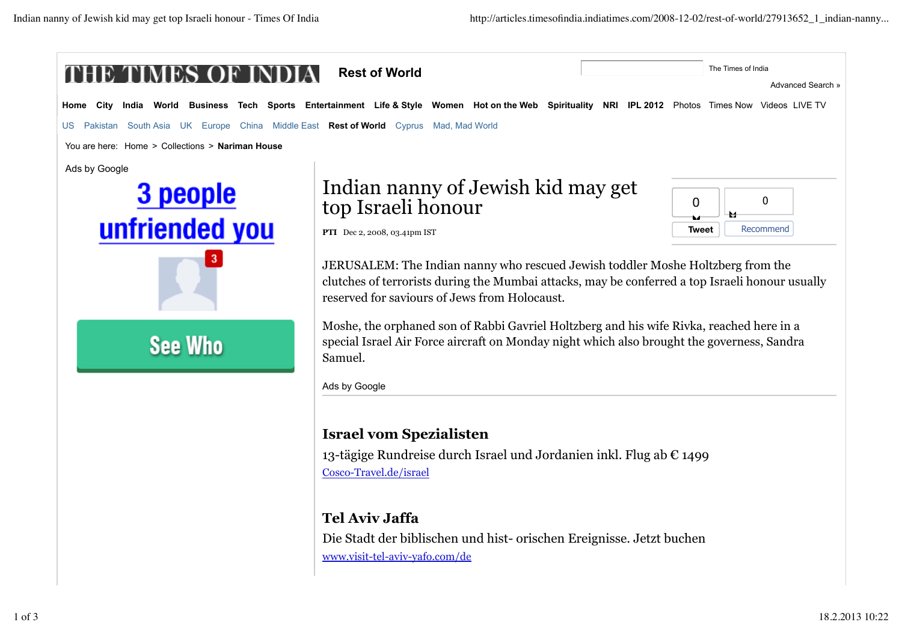